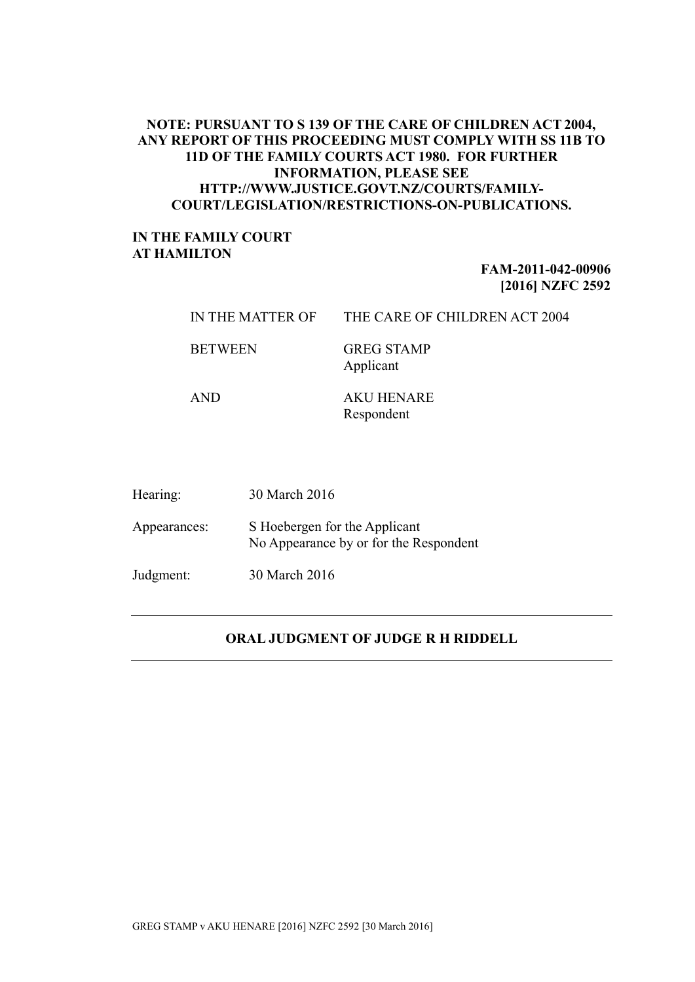## **NOTE: PURSUANT TO S 139 OF THE CARE OF CHILDREN ACT 2004, ANY REPORT OF THIS PROCEEDING MUST COMPLY WITH SS 11B TO 11D OF THE FAMILY COURTS ACT 1980. FOR FURTHER INFORMATION, PLEASE SEE HTTP://WWW.JUSTICE.GOVT.NZ/COURTS/FAMILY-COURT/LEGISLATION/RESTRICTIONS-ON-PUBLICATIONS.**

## **IN THE FAMILY COURT AT HAMILTON**

## **FAM-2011-042-00906 [2016] NZFC 2592**

| IN THE MATTER OF | THE CARE OF CHILDREN ACT 2004 |
|------------------|-------------------------------|
|                  |                               |

BETWEEN GREG STAMP

Applicant

AND AKU HENARE Respondent

| Hearing:     | 30 March 2016                                                           |
|--------------|-------------------------------------------------------------------------|
| Appearances: | S Hoebergen for the Applicant<br>No Appearance by or for the Respondent |
| Judgment:    | 30 March 2016                                                           |

## **ORAL JUDGMENT OF JUDGE R H RIDDELL**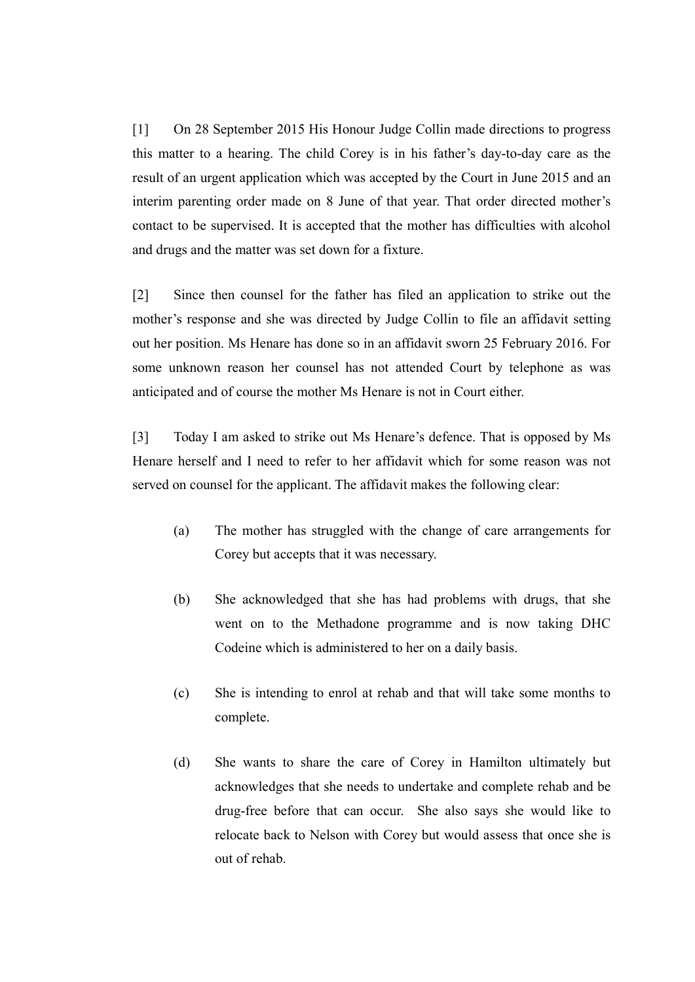[1] On 28 September 2015 His Honour Judge Collin made directions to progress this matter to a hearing. The child Corey is in his father's day-to-day care as the result of an urgent application which was accepted by the Court in June 2015 and an interim parenting order made on 8 June of that year. That order directed mother's contact to be supervised. It is accepted that the mother has difficulties with alcohol and drugs and the matter was set down for a fixture.

[2] Since then counsel for the father has filed an application to strike out the mother's response and she was directed by Judge Collin to file an affidavit setting out her position. Ms Henare has done so in an affidavit sworn 25 February 2016. For some unknown reason her counsel has not attended Court by telephone as was anticipated and of course the mother Ms Henare is not in Court either.

[3] Today I am asked to strike out Ms Henare's defence. That is opposed by Ms Henare herself and I need to refer to her affidavit which for some reason was not served on counsel for the applicant. The affidavit makes the following clear:

- (a) The mother has struggled with the change of care arrangements for Corey but accepts that it was necessary.
- (b) She acknowledged that she has had problems with drugs, that she went on to the Methadone programme and is now taking DHC Codeine which is administered to her on a daily basis.
- (c) She is intending to enrol at rehab and that will take some months to complete.
- (d) She wants to share the care of Corey in Hamilton ultimately but acknowledges that she needs to undertake and complete rehab and be drug-free before that can occur. She also says she would like to relocate back to Nelson with Corey but would assess that once she is out of rehab.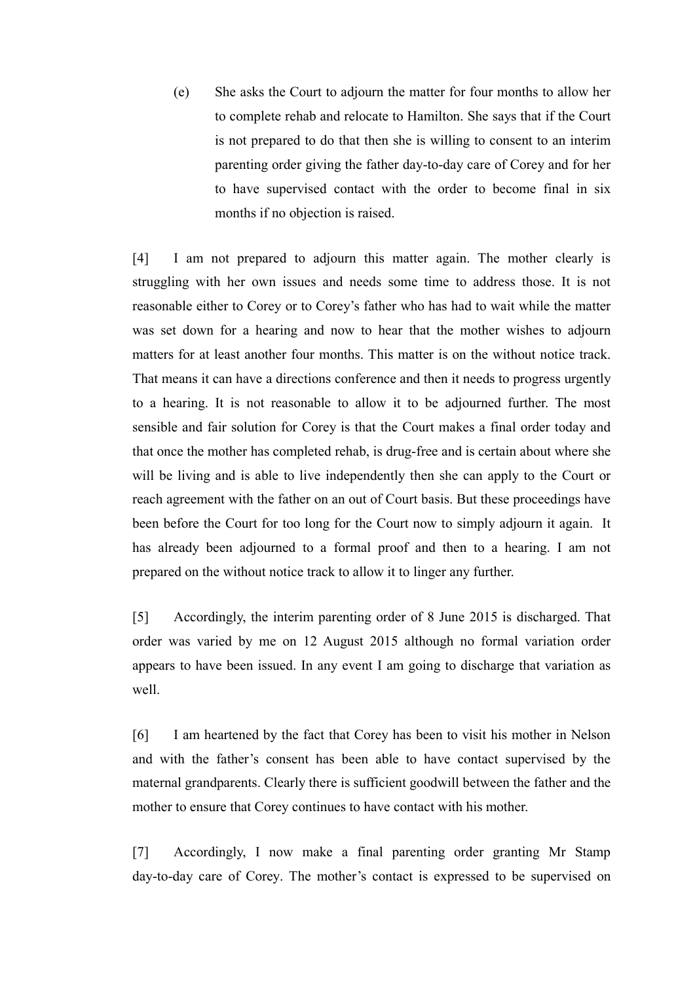(e) She asks the Court to adjourn the matter for four months to allow her to complete rehab and relocate to Hamilton. She says that if the Court is not prepared to do that then she is willing to consent to an interim parenting order giving the father day-to-day care of Corey and for her to have supervised contact with the order to become final in six months if no objection is raised.

[4] I am not prepared to adjourn this matter again. The mother clearly is struggling with her own issues and needs some time to address those. It is not reasonable either to Corey or to Corey's father who has had to wait while the matter was set down for a hearing and now to hear that the mother wishes to adjourn matters for at least another four months. This matter is on the without notice track. That means it can have a directions conference and then it needs to progress urgently to a hearing. It is not reasonable to allow it to be adjourned further. The most sensible and fair solution for Corey is that the Court makes a final order today and that once the mother has completed rehab, is drug-free and is certain about where she will be living and is able to live independently then she can apply to the Court or reach agreement with the father on an out of Court basis. But these proceedings have been before the Court for too long for the Court now to simply adjourn it again. It has already been adjourned to a formal proof and then to a hearing. I am not prepared on the without notice track to allow it to linger any further.

[5] Accordingly, the interim parenting order of 8 June 2015 is discharged. That order was varied by me on 12 August 2015 although no formal variation order appears to have been issued. In any event I am going to discharge that variation as well.

[6] I am heartened by the fact that Corey has been to visit his mother in Nelson and with the father's consent has been able to have contact supervised by the maternal grandparents. Clearly there is sufficient goodwill between the father and the mother to ensure that Corey continues to have contact with his mother.

[7] Accordingly, I now make a final parenting order granting Mr Stamp day-to-day care of Corey. The mother's contact is expressed to be supervised on